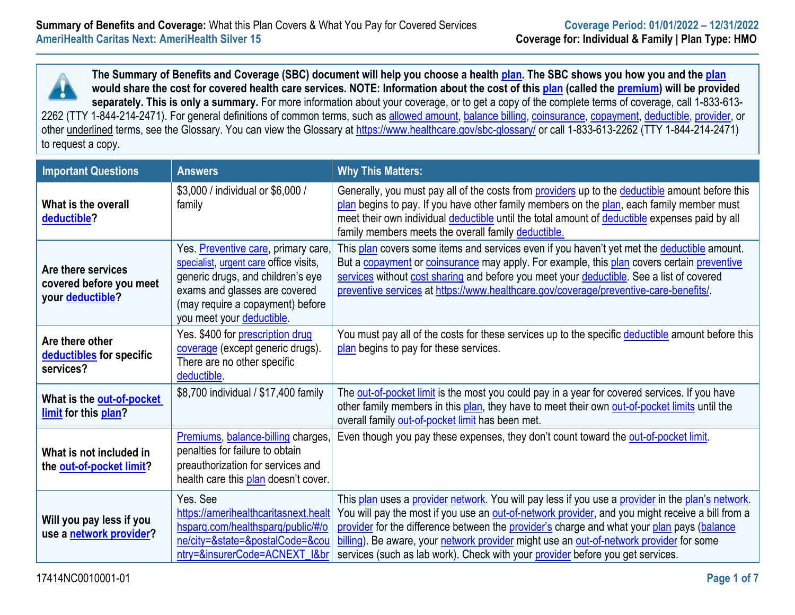**The Summary of Benefits and Coverage (SBC) document will help you choose a health [plan.](https://www.healthcare.gov/sbc-glossary/#plan) The SBC shows you how you and the [plan](https://www.healthcare.gov/sbc-glossary/#plan) would share the cost for covered health care services. NOTE: Information about the cost of this [plan](https://www.healthcare.gov/sbc-glossary/#plan) (called the [premium\)](https://www.healthcare.gov/sbc-glossary/#premium) will be provided separately. This is only a summary.** For more information about your coverage, or to get a copy of the complete terms of coverage, call 1-833-613 2262 (TTY 1-844-214-2471). For general definitions of common terms, such as [allowed amount,](https://www.healthcare.gov/sbc-glossary/#allowed-amount) [balance billing,](https://www.healthcare.gov/sbc-glossary/#balance-billing) [coinsurance,](https://www.healthcare.gov/sbc-glossary/#coinsurance) [copayment,](https://www.healthcare.gov/sbc-glossary/#copayment) [deductible,](https://www.healthcare.gov/sbc-glossary/#deductible) [provider,](https://www.healthcare.gov/sbc-glossary/#provider) or other underlined terms, see the Glossary. You can view the Glossary at<https://www.healthcare.gov/sbc-glossary/> or call 1-833-613-2262 (TTY 1-844-214-2471) to request a copy.

| <b>Important Questions</b>                                        | <b>Answers</b>                                                                                                                                                                                                       | <b>Why This Matters:</b>                                                                                                                                                                                                                                                                                                                                                                                                                                                         |
|-------------------------------------------------------------------|----------------------------------------------------------------------------------------------------------------------------------------------------------------------------------------------------------------------|----------------------------------------------------------------------------------------------------------------------------------------------------------------------------------------------------------------------------------------------------------------------------------------------------------------------------------------------------------------------------------------------------------------------------------------------------------------------------------|
| What is the overall<br>deductible?                                | \$3,000 / individual or \$6,000 /<br>family                                                                                                                                                                          | Generally, you must pay all of the costs from providers up to the deductible amount before this<br>plan begins to pay. If you have other family members on the plan, each family member must<br>meet their own individual deductible until the total amount of deductible expenses paid by all<br>family members meets the overall family deductible.                                                                                                                            |
| Are there services<br>covered before you meet<br>your deductible? | Yes. Preventive care, primary care,<br>specialist, urgent care office visits,<br>generic drugs, and children's eye<br>exams and glasses are covered<br>(may require a copayment) before<br>you meet your deductible. | This plan covers some items and services even if you haven't yet met the deductible amount.<br>But a copayment or coinsurance may apply. For example, this plan covers certain preventive<br>services without cost sharing and before you meet your deductible. See a list of covered<br>preventive services at https://www.healthcare.gov/coverage/preventive-care-benefits/                                                                                                    |
| Are there other<br>deductibles for specific<br>services?          | Yes. \$400 for prescription drug<br>coverage (except generic drugs).<br>There are no other specific<br>deductible.                                                                                                   | You must pay all of the costs for these services up to the specific deductible amount before this<br>plan begins to pay for these services.                                                                                                                                                                                                                                                                                                                                      |
| What is the out-of-pocket<br>limit for this plan?                 | \$8,700 individual / \$17,400 family                                                                                                                                                                                 | The out-of-pocket limit is the most you could pay in a year for covered services. If you have<br>other family members in this plan, they have to meet their own out-of-pocket limits until the<br>overall family out-of-pocket limit has been met.                                                                                                                                                                                                                               |
| What is not included in<br>the out-of-pocket limit?               | Premiums, balance-billing charges,<br>penalties for failure to obtain<br>preauthorization for services and<br>health care this plan doesn't cover.                                                                   | Even though you pay these expenses, they don't count toward the out-of-pocket limit.                                                                                                                                                                                                                                                                                                                                                                                             |
| Will you pay less if you<br>use a network provider?               | Yes. See<br>https://amerihealthcaritasnext.healt<br>hsparq.com/healthsparq/public/#/o<br>ne/city=&state=&postalCode=&cou<br>ntry=&insurerCode=ACNEXT_I&br                                                            | This plan uses a provider network. You will pay less if you use a provider in the plan's network.<br>You will pay the most if you use an out-of-network provider, and you might receive a bill from a<br>provider for the difference between the provider's charge and what your plan pays (balance<br>billing). Be aware, your network provider might use an out-of-network provider for some<br>services (such as lab work). Check with your provider before you get services. |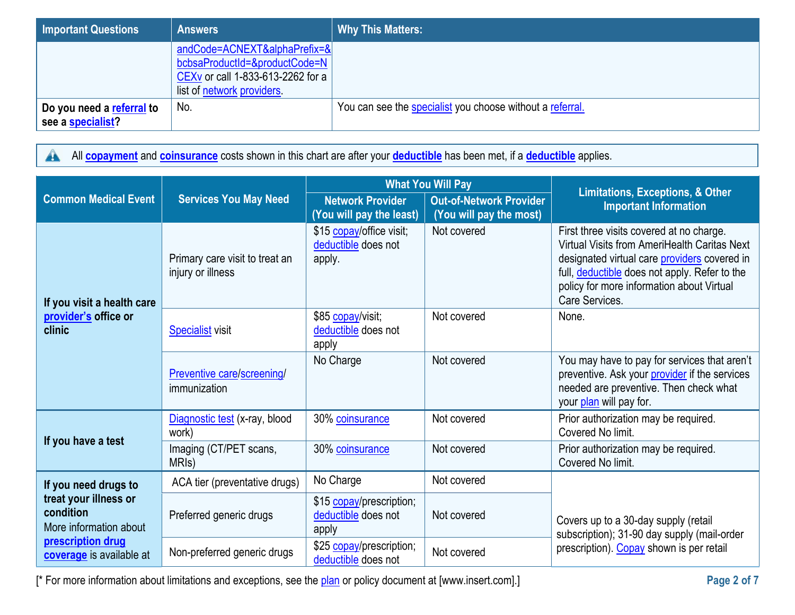| Important Questions                            | <b>Answers</b>                                                                                                                               | <b>Why This Matters:</b>                                  |
|------------------------------------------------|----------------------------------------------------------------------------------------------------------------------------------------------|-----------------------------------------------------------|
|                                                | andCode=ACNEXT&alphaPrefix=&<br>bcbsaProductId=&productCode=N<br>CEX <sub>v</sub> or call 1-833-613-2262 for a<br>list of network providers. |                                                           |
| Do you need a referral to<br>see a specialist? | No.                                                                                                                                          | You can see the specialist you choose without a referral. |

All **[copayment](https://www.healthcare.gov/sbc-glossary/#copayment)** and **[coinsurance](https://www.healthcare.gov/sbc-glossary/#coinsurance)** costs shown in this chart are after your **[deductible](https://www.healthcare.gov/sbc-glossary/#deductible)** has been met, if a **[deductible](https://www.healthcare.gov/sbc-glossary/#deductible)** applies.  $\blacktriangle$ 

|                                                              |                                                     |                                                           | <b>What You Will Pay</b>                                  | <b>Limitations, Exceptions, &amp; Other</b>                                                                                                                                                                                                              |
|--------------------------------------------------------------|-----------------------------------------------------|-----------------------------------------------------------|-----------------------------------------------------------|----------------------------------------------------------------------------------------------------------------------------------------------------------------------------------------------------------------------------------------------------------|
| <b>Common Medical Event</b>                                  | <b>Services You May Need</b>                        | <b>Network Provider</b><br>(You will pay the least)       | <b>Out-of-Network Provider</b><br>(You will pay the most) | <b>Important Information</b>                                                                                                                                                                                                                             |
| If you visit a health care                                   | Primary care visit to treat an<br>injury or illness | \$15 copay/office visit;<br>deductible does not<br>apply. | Not covered                                               | First three visits covered at no charge.<br>Virtual Visits from AmeriHealth Caritas Next<br>designated virtual care providers covered in<br>full, deductible does not apply. Refer to the<br>policy for more information about Virtual<br>Care Services. |
| provider's office or<br>clinic                               | <b>Specialist</b> visit                             | \$85 copay/visit;<br>deductible does not<br>apply         | Not covered                                               | None.                                                                                                                                                                                                                                                    |
|                                                              | Preventive care/screening/<br>immunization          | No Charge                                                 | Not covered                                               | You may have to pay for services that aren't<br>preventive. Ask your provider if the services<br>needed are preventive. Then check what<br>your plan will pay for.                                                                                       |
|                                                              | Diagnostic test (x-ray, blood<br>work)              | 30% coinsurance                                           | Not covered                                               | Prior authorization may be required.<br>Covered No limit.                                                                                                                                                                                                |
| If you have a test                                           | Imaging (CT/PET scans,<br>MRI <sub>s</sub> )        | 30% coinsurance                                           | Not covered                                               | Prior authorization may be required.<br>Covered No limit.                                                                                                                                                                                                |
| If you need drugs to                                         | ACA tier (preventative drugs)                       | No Charge                                                 | Not covered                                               |                                                                                                                                                                                                                                                          |
| treat your illness or<br>condition<br>More information about | Preferred generic drugs                             | \$15 copay/prescription;<br>deductible does not<br>apply  | Not covered                                               | Covers up to a 30-day supply (retail<br>subscription); 31-90 day supply (mail-order                                                                                                                                                                      |
| prescription drug<br>coverage is available at                | Non-preferred generic drugs                         | \$25 copay/prescription;<br>deductible does not           | Not covered                                               | prescription). Copay shown is per retail                                                                                                                                                                                                                 |

[\* For more information about limitations and exceptions, see the [plan](https://www.healthcare.gov/sbc-glossary/#plan) or policy document at [\[www.insert.com\]](http://www.insert.com/).] **Page 2 of 7**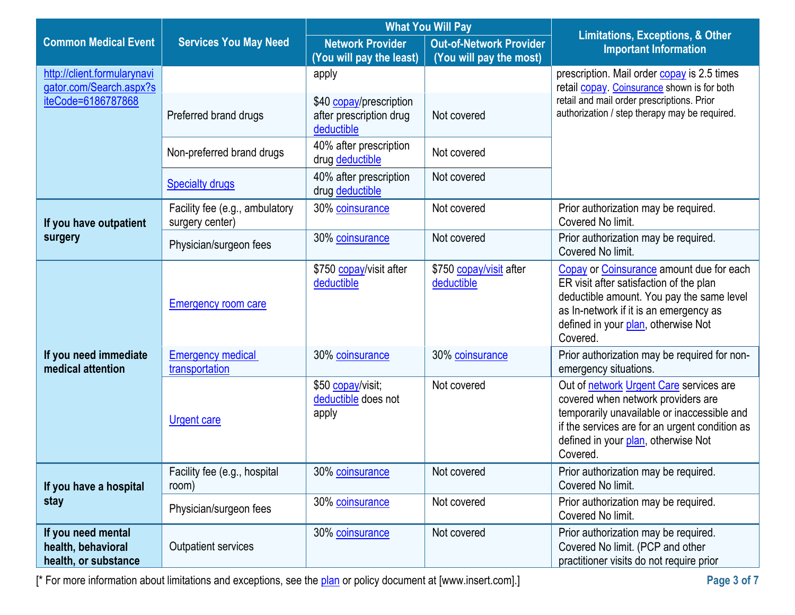|                                                                  |                                                   | <b>What You Will Pay</b>                                         |                                                           | <b>Limitations, Exceptions, &amp; Other</b>                                                                                                                                                                                       |  |
|------------------------------------------------------------------|---------------------------------------------------|------------------------------------------------------------------|-----------------------------------------------------------|-----------------------------------------------------------------------------------------------------------------------------------------------------------------------------------------------------------------------------------|--|
| <b>Common Medical Event</b>                                      | <b>Services You May Need</b>                      | <b>Network Provider</b><br>(You will pay the least)              | <b>Out-of-Network Provider</b><br>(You will pay the most) | <b>Important Information</b>                                                                                                                                                                                                      |  |
| http://client.formularynavi<br>gator.com/Search.aspx?s           |                                                   | apply                                                            |                                                           | prescription. Mail order copay is 2.5 times<br>retail copay. Coinsurance shown is for both                                                                                                                                        |  |
| iteCode=6186787868                                               | Preferred brand drugs                             | \$40 copay/prescription<br>after prescription drug<br>deductible | Not covered                                               | retail and mail order prescriptions. Prior<br>authorization / step therapy may be required.                                                                                                                                       |  |
|                                                                  | Non-preferred brand drugs                         | 40% after prescription<br>drug deductible                        | Not covered                                               |                                                                                                                                                                                                                                   |  |
|                                                                  | <b>Specialty drugs</b>                            | 40% after prescription<br>drug deductible                        | Not covered                                               |                                                                                                                                                                                                                                   |  |
| If you have outpatient                                           | Facility fee (e.g., ambulatory<br>surgery center) | 30% coinsurance                                                  | Not covered                                               | Prior authorization may be required.<br>Covered No limit.                                                                                                                                                                         |  |
| surgery                                                          | Physician/surgeon fees                            | 30% coinsurance                                                  | Not covered                                               | Prior authorization may be required.<br>Covered No limit.                                                                                                                                                                         |  |
|                                                                  | <b>Emergency room care</b>                        | \$750 copay/visit after<br>deductible                            | \$750 copay/visit after<br>deductible                     | Copay or Coinsurance amount due for each<br>ER visit after satisfaction of the plan<br>deductible amount. You pay the same level<br>as In-network if it is an emergency as<br>defined in your plan, otherwise Not<br>Covered.     |  |
| If you need immediate<br>medical attention                       | <b>Emergency medical</b><br>transportation        | 30% coinsurance                                                  | 30% coinsurance                                           | Prior authorization may be required for non-<br>emergency situations.                                                                                                                                                             |  |
|                                                                  | <b>Urgent care</b>                                | \$50 copay/visit;<br>deductible does not<br>apply                | Not covered                                               | Out of network Urgent Care services are<br>covered when network providers are<br>temporarily unavailable or inaccessible and<br>if the services are for an urgent condition as<br>defined in your plan, otherwise Not<br>Covered. |  |
| If you have a hospital                                           | Facility fee (e.g., hospital<br>room)             | 30% coinsurance                                                  | Not covered                                               | Prior authorization may be required.<br>Covered No limit.                                                                                                                                                                         |  |
| stay                                                             | Physician/surgeon fees                            | 30% coinsurance                                                  | Not covered                                               | Prior authorization may be required.<br>Covered No limit.                                                                                                                                                                         |  |
| If you need mental<br>health, behavioral<br>health, or substance | Outpatient services                               | 30% coinsurance                                                  | Not covered                                               | Prior authorization may be required.<br>Covered No limit. (PCP and other<br>practitioner visits do not require prior                                                                                                              |  |

[\* For more information about limitations and exceptions, see the [plan](https://www.healthcare.gov/sbc-glossary/#plan) or policy document at [\[www.insert.com\]](http://www.insert.com/).] **Page 3 of 7**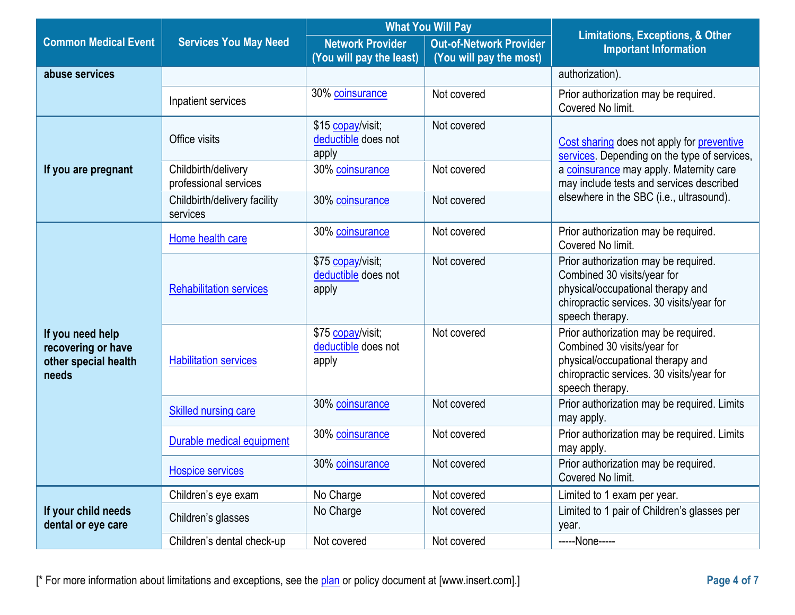|                                                                         |                                              | <b>What You Will Pay</b>                            |                                                           | <b>Limitations, Exceptions, &amp; Other</b>                                                                                                                              |  |
|-------------------------------------------------------------------------|----------------------------------------------|-----------------------------------------------------|-----------------------------------------------------------|--------------------------------------------------------------------------------------------------------------------------------------------------------------------------|--|
| <b>Common Medical Event</b>                                             | <b>Services You May Need</b>                 | <b>Network Provider</b><br>(You will pay the least) | <b>Out-of-Network Provider</b><br>(You will pay the most) | <b>Important Information</b>                                                                                                                                             |  |
| abuse services                                                          |                                              |                                                     |                                                           | authorization).                                                                                                                                                          |  |
|                                                                         | Inpatient services                           | 30% coinsurance                                     | Not covered                                               | Prior authorization may be required.<br>Covered No limit.                                                                                                                |  |
|                                                                         | Office visits                                | \$15 copay/visit;<br>deductible does not<br>apply   | Not covered                                               | Cost sharing does not apply for preventive<br>services. Depending on the type of services,                                                                               |  |
| If you are pregnant                                                     | Childbirth/delivery<br>professional services | 30% coinsurance                                     | Not covered                                               | a coinsurance may apply. Maternity care<br>may include tests and services described                                                                                      |  |
|                                                                         | Childbirth/delivery facility<br>services     | 30% coinsurance                                     | Not covered                                               | elsewhere in the SBC (i.e., ultrasound).                                                                                                                                 |  |
|                                                                         | Home health care                             | 30% coinsurance                                     | Not covered                                               | Prior authorization may be required.<br>Covered No limit.                                                                                                                |  |
|                                                                         | <b>Rehabilitation services</b>               | \$75 copay/visit;<br>deductible does not<br>apply   | Not covered                                               | Prior authorization may be required.<br>Combined 30 visits/year for<br>physical/occupational therapy and<br>chiropractic services. 30 visits/year for<br>speech therapy. |  |
| If you need help<br>recovering or have<br>other special health<br>needs | <b>Habilitation services</b>                 | \$75 copay/visit;<br>deductible does not<br>apply   | Not covered                                               | Prior authorization may be required.<br>Combined 30 visits/year for<br>physical/occupational therapy and<br>chiropractic services. 30 visits/year for<br>speech therapy. |  |
|                                                                         | <b>Skilled nursing care</b>                  | 30% coinsurance                                     | Not covered                                               | Prior authorization may be required. Limits<br>may apply.                                                                                                                |  |
|                                                                         | Durable medical equipment                    | 30% coinsurance                                     | Not covered                                               | Prior authorization may be required. Limits<br>may apply.                                                                                                                |  |
|                                                                         | <b>Hospice services</b>                      | 30% coinsurance                                     | Not covered                                               | Prior authorization may be required.<br>Covered No limit.                                                                                                                |  |
|                                                                         | Children's eye exam                          | No Charge                                           | Not covered                                               | Limited to 1 exam per year.                                                                                                                                              |  |
| If your child needs<br>dental or eye care                               | Children's glasses                           | No Charge                                           | Not covered                                               | Limited to 1 pair of Children's glasses per<br>year.                                                                                                                     |  |
|                                                                         | Children's dental check-up                   | Not covered                                         | Not covered                                               | -----None-----                                                                                                                                                           |  |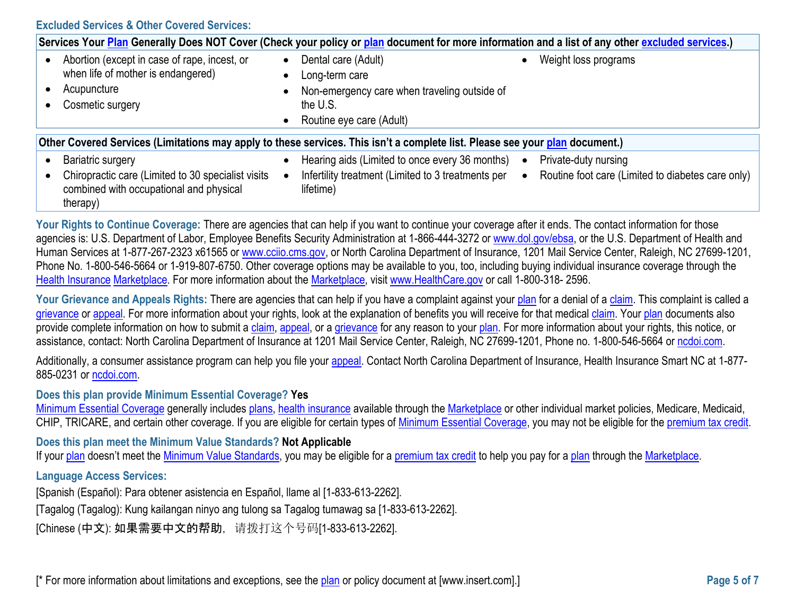**Excluded Services & Other Covered Services:**

|                                                                                                                              | Services Your Plan Generally Does NOT Cover (Check your policy or plan document for more information and a list of any other excluded services.) |                                                  |                                                                                                                               |           |                                                                           |
|------------------------------------------------------------------------------------------------------------------------------|--------------------------------------------------------------------------------------------------------------------------------------------------|--------------------------------------------------|-------------------------------------------------------------------------------------------------------------------------------|-----------|---------------------------------------------------------------------------|
|                                                                                                                              | Abortion (except in case of rape, incest, or<br>when life of mother is endangered)<br>Acupuncture<br>Cosmetic surgery                            | $\bullet$<br>$\bullet$<br>$\bullet$<br>$\bullet$ | Dental care (Adult)<br>Long-term care<br>Non-emergency care when traveling outside of<br>the U.S.<br>Routine eye care (Adult) |           | Weight loss programs                                                      |
| Other Covered Services (Limitations may apply to these services. This isn't a complete list. Please see your plan document.) |                                                                                                                                                  |                                                  |                                                                                                                               |           |                                                                           |
|                                                                                                                              | Bariatric surgery<br>Chiropractic care (Limited to 30 specialist visits<br>combined with occupational and physical<br>therapy)                   | $\bullet$                                        | Hearing aids (Limited to once every 36 months)<br>Infertility treatment (Limited to 3 treatments per<br>lifetime)             | $\bullet$ | Private-duty nursing<br>Routine foot care (Limited to diabetes care only) |

Your Rights to Continue Coverage: There are agencies that can help if you want to continue your coverage after it ends. The contact information for those agencies is: U.S. Department of Labor, Employee Benefits Security Administration at 1-866-444-3272 or [www.dol.gov/ebsa,](http://www.dol.gov/ebsa) or the U.S. Department of Health and Human Services at 1-877-267-2323 x61565 or [www.cciio.cms.gov,](http://www.cciio.cms.gov/) or North Carolina Department of Insurance, 1201 Mail Service Center, Raleigh, NC 27699-1201, Phone No. 1-800-546-5664 or 1-919-807-6750. Other coverage options may be available to you, too, including buying individual insurance coverage through the [Health Insurance](https://www.healthcare.gov/sbc-glossary/#health-insurance) [Marketplace.](https://www.healthcare.gov/sbc-glossary/#marketplace) For more information about the [Marketplace,](https://www.healthcare.gov/sbc-glossary/#marketplace) visit [www.HealthCare.gov](http://www.healthcare.gov/) or call 1-800-318- 2596.

Your Grievance and Appeals Rights: There are agencies that can help if you have a complaint against your [plan](https://www.healthcare.gov/sbc-glossary/#plan) for a denial of a [claim.](https://www.healthcare.gov/sbc-glossary/#claim) This complaint is called a [grievance](https://www.healthcare.gov/sbc-glossary/#grievance) or [appeal.](https://www.healthcare.gov/sbc-glossary/#appeal) For more information about your rights, look at the explanation of benefits you will receive for that medical [claim.](https://www.healthcare.gov/sbc-glossary/#claim) Your [plan](https://www.healthcare.gov/sbc-glossary/#plan) documents also provide complete information on how to submit a [claim,](https://www.healthcare.gov/sbc-glossary/#claim) [appeal,](https://www.healthcare.gov/sbc-glossary/#appeal) or a [grievance](https://www.healthcare.gov/sbc-glossary/#grievance) for any reason to your [plan.](https://www.healthcare.gov/sbc-glossary/#plan) For more information about your rights, this notice, or assistance, contact: North Carolina Department of Insurance at 1201 Mail Service Center, Raleigh, NC 27699-1201, Phone no. 1-800-546-5664 or [ncdoi.com.](file:///C:/Users/Emily.quinn/AppData/Local/Microsoft/Windows/INetCache/Content.Outlook/9RQ0JR9R/ncdoi.com)

Additionally, a consumer assistance program can help you file your [appeal.](https://www.healthcare.gov/sbc-glossary/#appeal) Contact North Carolina Department of Insurance, Health Insurance Smart NC at 1-877-885-0231 or [ncdoi.com.](file:///C:/Users/Yan.Zhou/Documents/Project%20Work/AHC/05.%20Product/SBC/ncdoi.com)

#### **Does this plan provide Minimum Essential Coverage? Yes**

[Minimum Essential Coverage](https://www.healthcare.gov/sbc-glossary/#minimum-essential-coverage) generally includes [plans,](https://www.healthcare.gov/sbc-glossary/#plan) [health insurance](https://www.healthcare.gov/sbc-glossary/#health-insurance) available through the [Marketplace](https://www.healthcare.gov/sbc-glossary/#marketplace) or other individual market policies, Medicare, Medicaid, CHIP, TRICARE, and certain other coverage. If you are eligible for certain types of [Minimum Essential Coverage,](https://www.healthcare.gov/sbc-glossary/#minimum-essential-coverage) you may not be eligible for the [premium tax credit.](https://www.healthcare.gov/sbc-glossary/#premium-tax-credits)

**Does this plan meet the Minimum Value Standards? Not Applicable**

If your [plan](https://www.healthcare.gov/sbc-glossary/#plan) doesn't meet the [Minimum Value Standards,](https://www.healthcare.gov/sbc-glossary/#minimum-value-standard) you may be eligible for a [premium tax credit](https://www.healthcare.gov/sbc-glossary/#premium-tax-credits) to help you pay for a plan through the [Marketplace.](https://www.healthcare.gov/sbc-glossary/#marketplace)

### **Language Access Services:**

[Spanish (Español): Para obtener asistencia en Español, llame al [1-833-613-2262].

[Tagalog (Tagalog): Kung kailangan ninyo ang tulong sa Tagalog tumawag sa [1-833-613-2262].

[Chinese (中文): 如果需要中文的帮助, 请拨打这个号码[1-833-613-2262].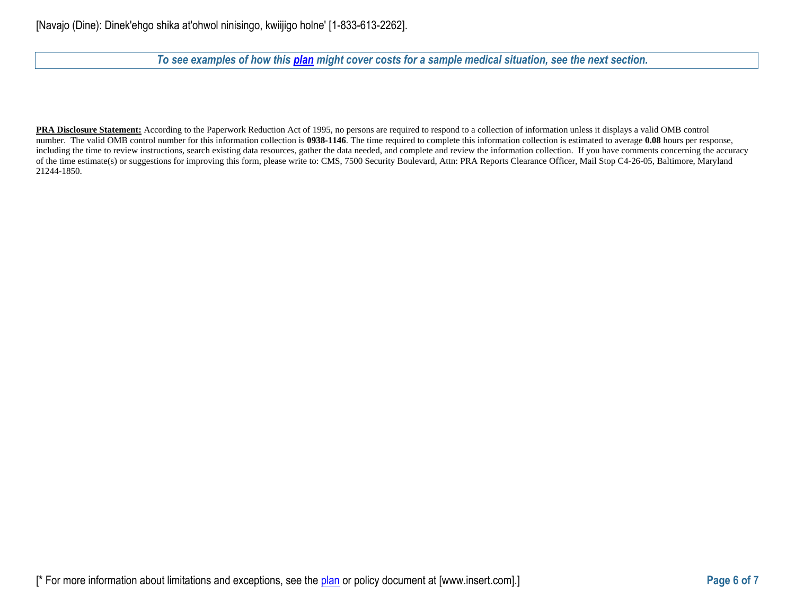*To see examples of how this [plan](https://www.healthcare.gov/sbc-glossary/#plan) might cover costs for a sample medical situation, see the next section.*

**PRA Disclosure Statement:** According to the Paperwork Reduction Act of 1995, no persons are required to respond to a collection of information unless it displays a valid OMB control number. The valid OMB control number for this information collection is **0938-1146**. The time required to complete this information collection is estimated to average **0.08** hours per response, including the time to review instructions, search existing data resources, gather the data needed, and complete and review the information collection. If you have comments concerning the accuracy of the time estimate(s) or suggestions for improving this form, please write to: CMS, 7500 Security Boulevard, Attn: PRA Reports Clearance Officer, Mail Stop C4-26-05, Baltimore, Maryland 21244-1850.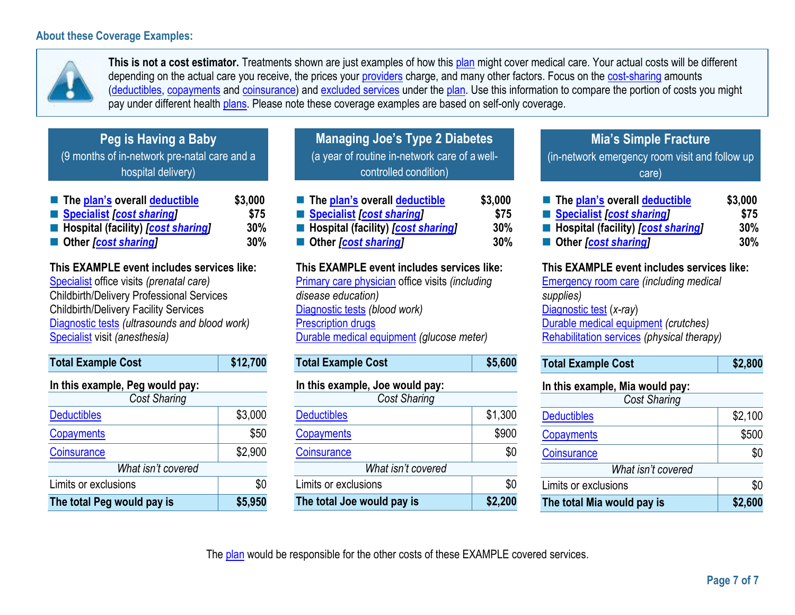# **About these Coverage Examples:**



**This is not a cost estimator.** Treatments shown are just examples of how this [plan](https://www.healthcare.gov/sbc-glossary/#plan) might cover medical care. Your actual costs will be different depending on the actual care you receive, the prices your [providers](https://www.healthcare.gov/sbc-glossary/#provider) charge, and many other factors. Focus on the [cost-sharing](https://www.healthcare.gov/sbc-glossary/#cost-sharing) amounts [\(deductibles,](https://www.healthcare.gov/sbc-glossary/#deductible) [copayments](https://www.healthcare.gov/sbc-glossary/#copayment) and [coinsurance\)](https://www.healthcare.gov/sbc-glossary/#coinsurance) and [excluded services](https://www.healthcare.gov/sbc-glossary/#excluded-services) under the [plan.](https://www.healthcare.gov/sbc-glossary/#plan) Use this information to compare the portion of costs you might pay under different health [plans.](https://www.healthcare.gov/sbc-glossary/#plan) Please note these coverage examples are based on self-only coverage.

| Peg is Having a Baby                         |
|----------------------------------------------|
| (9 months of in-network pre-natal care and a |
| hospital delivery)                           |
|                                              |

| The plan's overall deductible               | \$3,000 |
|---------------------------------------------|---------|
| Specialist [cost sharing]                   | \$75    |
| ■ Hospital (facility) <i>[cost sharing]</i> | 30%     |
| ■ Other <i>[cost sharing]</i>               | 30%     |

**This EXAMPLE event includes services like:** [Specialist](https://www.healthcare.gov/sbc-glossary/#specialist) office visits *(prenatal care)* Childbirth/Delivery Professional Services Childbirth/Delivery Facility Services [Diagnostic tests](https://www.healthcare.gov/sbc-glossary/#diagnostic-test) *(ultrasounds and blood work)* [Specialist](https://www.healthcare.gov/sbc-glossary/#specialist) visit *(anesthesia)*

| <b>Total Example Cost</b>       | \$12,700 |  |  |
|---------------------------------|----------|--|--|
| In this example, Peg would pay: |          |  |  |
| <b>Cost Sharing</b>             |          |  |  |
| <b>Deductibles</b>              | \$3,000  |  |  |
| Copayments                      | \$50     |  |  |
| Coinsurance                     | \$2,900  |  |  |
| What isn't covered              |          |  |  |
| Limits or exclusions            | \$0      |  |  |
| The total Peg would pay is      | \$5,950  |  |  |

**Managing Joe's Type 2 Diabetes**  (a year of routine in-network care of a wellcontrolled condition)

| The plan's overall deductible               | \$3,000 |
|---------------------------------------------|---------|
| Specialist [cost sharing]                   | \$75    |
| ■ Hospital (facility) <i>[cost sharing]</i> | 30%     |
| ■ Other [cost sharing]                      | 30%     |

**This EXAMPLE event includes services like:** [Primary care physician](https://www.healthcare.gov/sbc-glossary/#primary-care-physician) office visits *(including disease education)* [Diagnostic tests](https://www.healthcare.gov/sbc-glossary/#diagnostic-test) *(blood work)* [Prescription drugs](https://www.healthcare.gov/sbc-glossary/#prescription-drugs) Durable [medical equipment](https://www.healthcare.gov/sbc-glossary/#durable-medical-equipment) *(glucose meter)*

| <b>Total Example Cost</b>       | \$5,600 |  |
|---------------------------------|---------|--|
| In this example, Joe would pay: |         |  |
| <b>Cost Sharing</b>             |         |  |
| <b>Deductibles</b>              | \$1,300 |  |
| Copayments                      | \$900   |  |
| Coinsurance                     | \$0     |  |
| What isn't covered              |         |  |
| Limits or exclusions            | \$0     |  |
| The total Joe would pay is      | \$2,200 |  |

**Mia's Simple Fracture** (in-network emergency room visit and follow up care)

| ■ The plan's overall deductible             | \$3,000 |
|---------------------------------------------|---------|
| Specialist [cost sharing]                   | \$75    |
| ■ Hospital (facility) <i>[cost sharing]</i> | 30%     |
| ■ Other [cost sharing]                      | 30%     |

# **This EXAMPLE event includes services like:**

[Emergency room care](https://www.healthcare.gov/sbc-glossary/#emergency-room-care-emergency-services) *(including medical supplies)* [Diagnostic test](https://www.healthcare.gov/sbc-glossary/#diagnostic-test) (*x-ray*) [Durable medical equipment](https://www.healthcare.gov/sbc-glossary/#durable-medical-equipment) *(crutches)* [Rehabilitation services](https://www.healthcare.gov/sbc-glossary/#rehabilitation-services) *(physical therapy)*

|  | \$2,800<br><b>Total Example Cost</b> |  |
|--|--------------------------------------|--|
|--|--------------------------------------|--|

| In this example, Mia would pay: |         |
|---------------------------------|---------|
| Cost Sharing                    |         |
| <b>Deductibles</b>              | \$2,100 |
| Copayments                      | \$500   |
| Coinsurance                     | \$0     |
| What isn't covered              |         |
| Limits or exclusions            | \$0     |
| The total Mia would pay is      | \$2,600 |

The [plan](https://www.healthcare.gov/sbc-glossary/#plan) would be responsible for the other costs of these EXAMPLE covered services.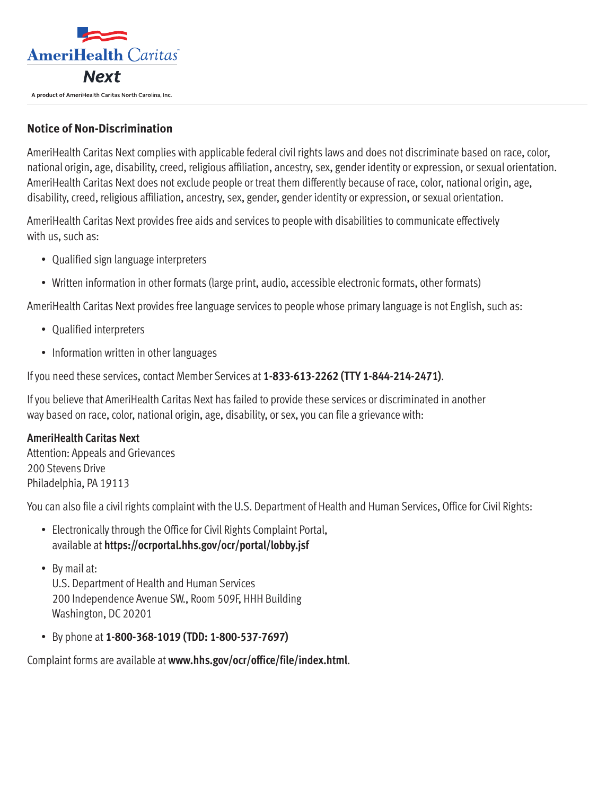

# **Notice of Non-Discrimination**

AmeriHealth Caritas Next complies with applicable federal civil rights laws and does not discriminate based on race, color, national origin, age, disability, creed, religious affiliation, ancestry, sex, gender identity or expression, or sexual orientation. AmeriHealth Caritas Next does not exclude people or treat them differently because of race, color, national origin, age, disability, creed, religious affiliation, ancestry, sex, gender, gender identity or expression, or sexual orientation.

AmeriHealth Caritas Next provides free aids and services to people with disabilities to communicate effectively with us, such as:

- Qualified sign language interpreters
- Written information in other formats (large print, audio, accessible electronic formats, other formats)

AmeriHealth Caritas Next provides free language services to people whose primary language is not English, such as:

- Qualified interpreters
- Information written in other languages

If you need these services, contact Member Services at **1-833-613-2262 (TTY 1-844-214-2471)**.

If you believe that AmeriHealth Caritas Next has failed to provide these services or discriminated in another way based on race, color, national origin, age, disability, or sex, you can file a grievance with:

### **AmeriHealth Caritas Next**

Attention: Appeals and Grievances 200 Stevens Drive Philadelphia, PA 19113

You can also file a civil rights complaint with the U.S. Department of Health and Human Services, Office for Civil Rights:

- Electronically through the Office for Civil Rights Complaint Portal, available at **<https://ocrportal.hhs.gov/ocr/portal/lobby.jsf>**
- By mail at:

U.S. Department of Health and Human Services 200 Independence Avenue SW., Room 509F, HHH Building Washington, DC 20201

• By phone at **1-800-368-1019 (TDD: 1-800-537-7697)**

Complaint forms are available at **[www.hhs.gov/ocr/office/file/index.html](http://www.hhs.gov/ocr/office/file/index.html)**.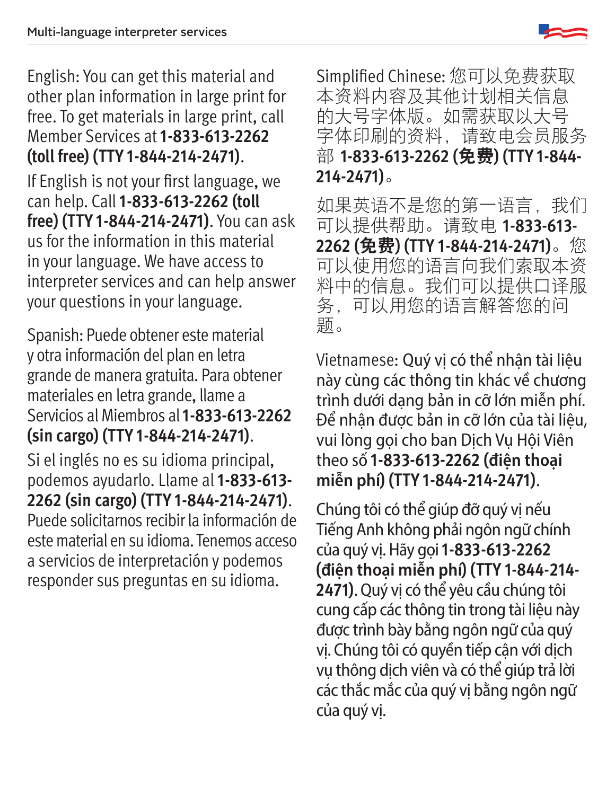English: You can get this material and other plan information in large print for free. To get materials in large print, call Member Services at **1-833-613-2262 (toll free) (TTY 1-844-214-2471)**.

If English is not your first language, we can help. Call **1-833-613-2262 (toll free) (TTY 1-844-214-2471)**. You can ask us for the information in this material in your language. We have access to interpreter services and can help answer your questions in your language.

Spanish: Puede obtener este material y otra información del plan en letra grande de manera gratuita. Para obtener materiales en letra grande, llame a Servicios al Miembros al **1-833-613-2262 (sin cargo) (TTY 1-844-214-2471)**.

Si el inglés no es su idioma principal, podemos ayudarlo. Llame al **1-833-613- 2262 (sin cargo) (TTY 1-844-214-2471)**. Puede solicitarnos recibir la información de este material en su idioma. Tenemos acceso a servicios de interpretación y podemos responder sus preguntas en su idioma.

Simplified Chinese: 您可以免费获取 本资料内容及其他计划相关信息 的大号字体版。如需获取以大号 字体印刷的资料,请致电会员服务 部 **1-833-613-2262 (**免费**) (TTY 1-844- 214-2471)**。

如果英语不是您的第一语言,我们 可以提供帮助。请致电 **1-833-613- 2262 (**免费**) (TTY 1-844-214-2471)**。您 可以使用您的语言向我们索取本资 料中的信息。我们可以提供口译服 务,可以用您的语言解答您的问 题。

Vietnamese: Quý vị có thể nhận tài liệu này cùng các thông tin khác về chương trình dưới dạng bản in cỡ lớn miễn phí. Để nhận được bản in cỡ lớn của tài liệu, vui lòng gọi cho ban Dịch Vụ Hội Viên theo số **1-833-613-2262 (điện thoại miễn phí) (TTY 1-844-214-2471)**.

Chúng tôi có thể giúp đỡ quý vị nếu Tiếng Anh không phải ngôn ngữ chính của quý vị. Hãy gọi **1-833-613-2262 (điện thoại miễn phí) (TTY 1-844-214- 2471)**. Quý vị có thể yêu cầu chúng tôi cung cấp các thông tin trong tài liệu này được trình bày bằng ngôn ngữ của quý vị. Chúng tôi có quyền tiếp cận với dịch vụ thông dịch viên và có thể giúp trả lời các thắc mắc của quý vị bằng ngôn ngữ của quý vị.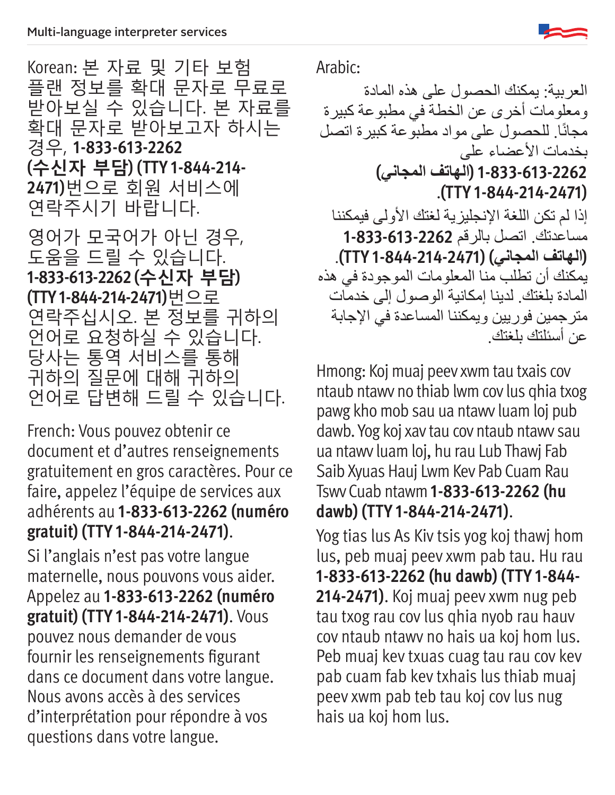

Korean: 본 자료 및 기타 보험 플랜 정보를 확대 문자로 무료로 받아보실 수 있습니다. 본 자료를 확대 문자로 받아보고자 하시는 경우, **1-833-613-2262 (수신자 부담) (TTY 1-844-214- 2471)**번으로 회원 서비스에 연락주시기 바랍니다.

영어가 모국어가 아닌 경우, 도움을 드릴 수 있습니다. **1-833-613-2262 (수신자 부담) (TTY 1-844-214-2471)**번으로 연락주십시오. 본 정보를 귀하의 언어로 요청하실 수 있습니다. 당사는 통역 서비스를 통해 귀하의 질문에 대해 귀하의 언어로 답변해 드릴 수 있습니다.

French: Vous pouvez obtenir ce document et d'autres renseignements gratuitement en gros caractères. Pour ce faire, appelez l'équipe de services aux adhérents au **1-833-613-2262 (numéro gratuit) (TTY 1-844-214-2471)**.

Si l'anglais n'est pas votre langue maternelle, nous pouvons vous aider. Appelez au **1-833-613-2262 (numéro gratuit) (TTY 1-844-214-2471)**. Vous pouvez nous demander de vous fournir les renseignements figurant dans ce document dans votre langue. Nous avons accès à des services d'interprétation pour répondre à vos questions dans votre langue.

Arabic:

العربية: يمكنك الحصول على هذه المادة ومعلومات أخرى عن الخطة في مطبوعة كبيرة مجانًا. للحصول على مواد مطبوعة كبيرة اتصل بخدمات الأعضاء على **1-833-613-2262 )الهاتف المجاني(** .**)TTY 1-844-214-2471(** إذا لم تكن اللغة الإنجليزية لغتك الأولى فيمكننا مساعدتك. اتصل بالرقم **1-833-613-2262 )الهاتف المجاني( )1-844-214-2471 TTY)**. يمكنك أن تطلب منا المعلومات الموجودة في هذه المادة بلغتك. لدينا إمكانية الوصول إلى خدمات مترجمين فوريين ويمكننا المساعدة في اإلجابة عن أسئلتك بلغتك.

Hmong: Koj muaj peev xwm tau txais cov ntaub ntawv no thiab lwm cov lus qhia txog pawg kho mob sau ua ntawv luam loj pub dawb. Yog koj xav tau cov ntaub ntawv sau ua ntawv luam loj, hu rau Lub Thawj Fab Saib Xyuas Hauj Lwm Kev Pab Cuam Rau Tswv Cuab ntawm **1-833-613-2262 (hu dawb) (TTY 1-844-214-2471)**.

Yog tias lus As Kiv tsis yog koj thawj hom lus, peb muaj peev xwm pab tau. Hu rau **1-833-613-2262 (hu dawb) (TTY 1-844- 214-2471)**. Koj muaj peev xwm nug peb tau txog rau cov lus qhia nyob rau hauv cov ntaub ntawv no hais ua koj hom lus. Peb muaj kev txuas cuag tau rau cov kev pab cuam fab kev txhais lus thiab muaj peev xwm pab teb tau koj cov lus nug hais ua koj hom lus.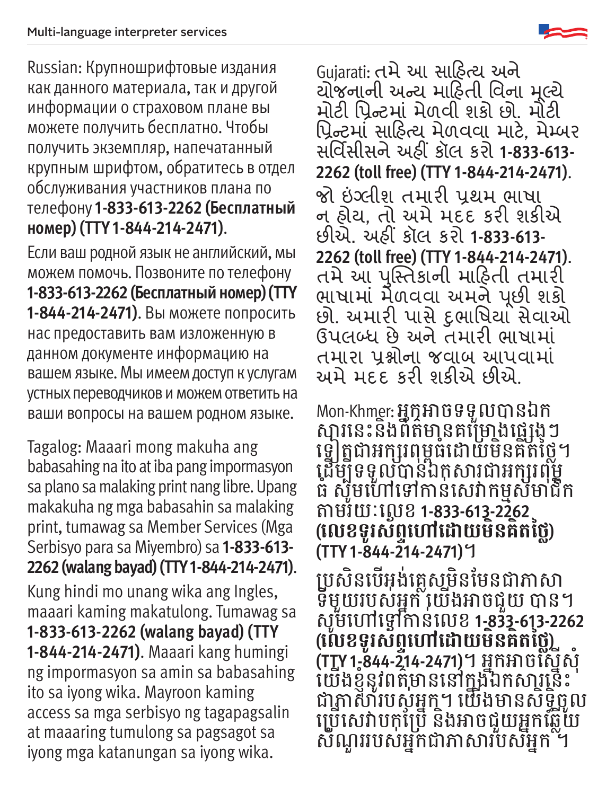Russian: Крупношрифтовые издания как данного материала, так и другой информации о страховом плане вы можете получить бесплатно. Чтобы получить экземпляр, напечатанный крупным шрифтом, обратитесь в отдел обслуживания участников плана по телефону **1-833-613-2262 (Бесплатный номер) (TTY 1-844-214-2471)**.

Если ваш родной язык не английский, мы можем помочь. Позвоните по телефону **1-833-613-2262 (Бесплатный номер) (TTY 1-844-214-2471)**. Вы можете попросить нас предоставить вам изложенную в данном документе информацию на вашем языке. Мы имеем доступ к услугам устных переводчиков и можем ответить на ваши вопросы на вашем родном языке.

Tagalog: Maaari mong makuha ang babasahing na ito at iba pang impormasyon sa plano sa malaking print nang libre. Upang makakuha ng mga babasahin sa malaking print, tumawag sa Member Services (Mga Serbisyo para sa Miyembro) sa **1-833-613- 2262 (walang bayad) (TTY 1-844-214-2471)**. Kung hindi mo unang wika ang Ingles, maaari kaming makatulong. Tumawag sa **1-833-613-2262 (walang bayad) (TTY 1-844-214-2471)**. Maaari kang humingi ng impormasyon sa amin sa babasahing ito sa iyong wika. Mayroon kaming access sa mga serbisyo ng tagapagsalin at maaaring tumulong sa pagsagot sa iyong mga katanungan sa iyong wika.

Gujarati: તમે આ સાહિત્ય અને યોજનાની અન્ય માહિતી વિના મૂલ્ય મોટી પ્રિન્ટમાં મેળવી શકો છો. મોટી પ્રિન્ટમાં સાહિત્ય મેળવવા માટે, મેમ્બર સર્વિસીસને અહીં કૉલ કરો **1-833-613- 2262 (toll free) (TTY 1-844-214-2471)**. જો ઇંગ્લીશ તમારી પ્રથમ ભાષા ન હોય, તો અમે મદદ કરી શકીએ છીએ. અહીં કૉલ કરો **1-833-613- 2262 (toll free) (TTY 1-844-214-2471)**. તમે આ પસ્ુતિકાની માહિતી તમારી ભાષામાં મેળવવા અમને પછી શકો ૂ છો. અમારી પાસે દુભાષિયા સેવાઓ ઉપલબ્ધ છે અને તમારી ભાષામાં તમારા પ્રશ્નોના જવાબ આપવામાં અમે મદદ કરી શકીએ છીએ.

Mon-Khmer: អ្នកអាចទទួលបានឯក សា្ថរនេះនងពីតមានគម្រោងផ្លេង្គេៗ ទ្រៀត្តជាអក្សរពុម្ពធដោយមិនគត់ថ្លៃ។ ដើម្បីទទួលបានឯកសារជាអក្សរពុម្ព ធ សូមហោទោកាន់សេវាកម្មសមាជក ់ តាាមរយៈៈលេខ **1-833-613-2262 (លេ�ខទូូរស័័ព្ទទហៅ�ៅដោ� យមិិនគិិតថ្លៃ�ៃ) (TTY 1-844-214-2471)**។

ប្រសនបេអុងគ្លេសមនមេនជាភាសា ់ ទីមួយរបស់អ្នក យើងអាចជួយ បាន។ សូមហៅទៅកានលេខ 1-833-613-2262 ់ **(លេ�ខទូូរស័័ព្ទទហៅ�ៅដោ� យមិិនគិិតថ្លៃ�ៃ) (TTY 1-844-214-2471)**។ អ្ននកអាាចស្នើើសុំំ យើងខ្ញុំនូវពត៌មាននៅក្នុងឯកសារនេះ ជាតាសារបសូអ្នក។ យេងមានសទ្ធចូល ិ ប្រើសេវាបកុប្រែ និងអាចជួយអ្នកឆ្លើយ ស័ណូររបស់អ្នកជាភាសារបស់អ្នក ។